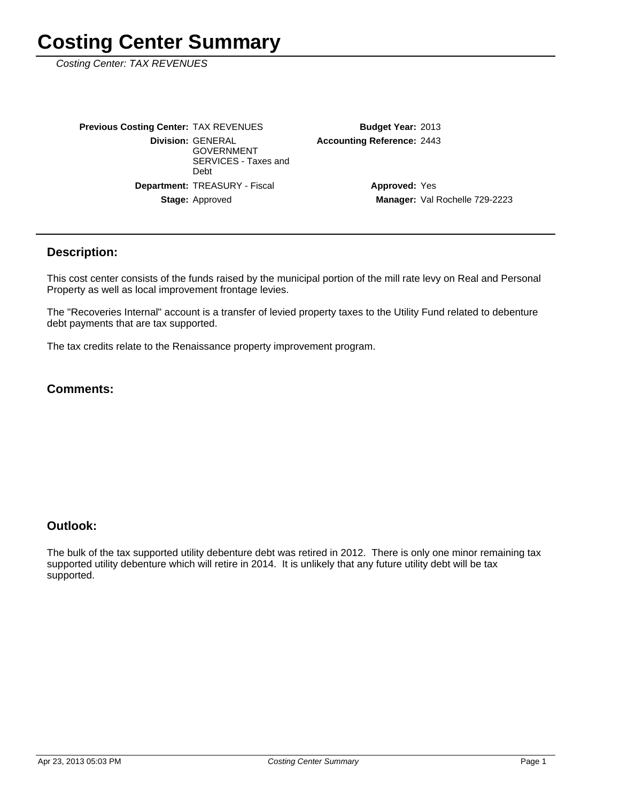Costing Center: TAX REVENUES

Stage: Approved Department: TREASURY - Fiscal **Division: GENERAL** GOVERNMENT SERVICES - Taxes and Debt **Previous Costing Center: TAX REVENUES** 

2443 **Accounting Reference:** Budget Year: 2013

> Manager: Val Rochelle 729-2223 **Approved: Yes**

### **Description:**

This cost center consists of the funds raised by the municipal portion of the mill rate levy on Real and Personal Property as well as local improvement frontage levies.

The "Recoveries Internal" account is a transfer of levied property taxes to the Utility Fund related to debenture debt payments that are tax supported.

The tax credits relate to the Renaissance property improvement program.

### **Comments:**

#### **Outlook:**

The bulk of the tax supported utility debenture debt was retired in 2012. There is only one minor remaining tax supported utility debenture which will retire in 2014. It is unlikely that any future utility debt will be tax supported.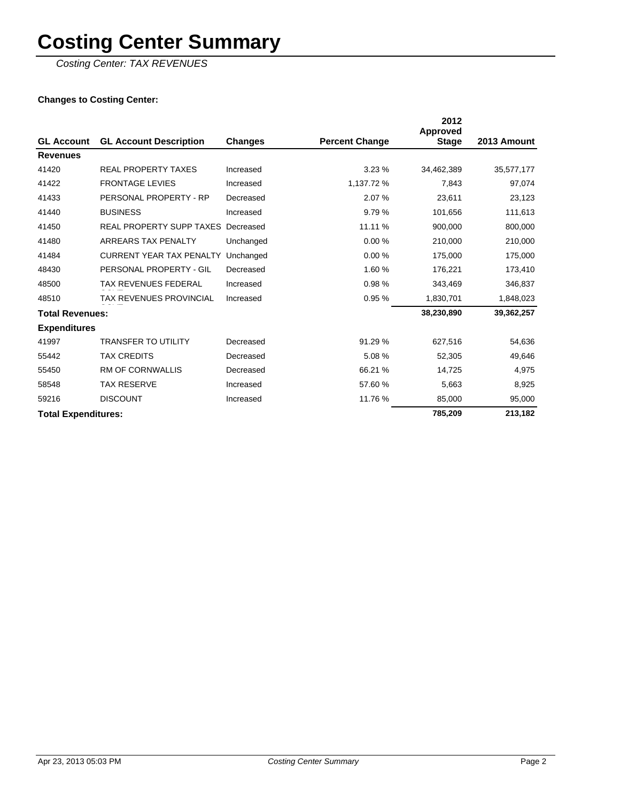# **Costing Center Summary**

Costing Center: TAX REVENUES

### **Changes to Costing Center:**

|                            |                                 |           |                       | 2012<br><b>Approved</b> |             |
|----------------------------|---------------------------------|-----------|-----------------------|-------------------------|-------------|
| <b>GL Account</b>          | <b>GL Account Description</b>   | Changes   | <b>Percent Change</b> | <b>Stage</b>            | 2013 Amount |
| <b>Revenues</b>            |                                 |           |                       |                         |             |
| 41420                      | <b>REAL PROPERTY TAXES</b>      | Increased | 3.23%                 | 34,462,389              | 35,577,177  |
| 41422                      | <b>FRONTAGE LEVIES</b>          | Increased | 1,137.72 %            | 7,843                   | 97,074      |
| 41433                      | PERSONAL PROPERTY - RP          | Decreased | 2.07%                 | 23,611                  | 23,123      |
| 41440                      | <b>BUSINESS</b>                 | Increased | 9.79%                 | 101,656                 | 111,613     |
| 41450                      | <b>REAL PROPERTY SUPP TAXES</b> | Decreased | 11.11 %               | 900,000                 | 800,000     |
| 41480                      | ARREARS TAX PENALTY             | Unchanged | 0.00%                 | 210.000                 | 210,000     |
| 41484                      | <b>CURRENT YEAR TAX PENALTY</b> | Unchanged | 0.00%                 | 175,000                 | 175,000     |
| 48430                      | PERSONAL PROPERTY - GIL         | Decreased | 1.60%                 | 176,221                 | 173,410     |
| 48500                      | <b>TAX REVENUES FEDERAL</b>     | Increased | 0.98%                 | 343,469                 | 346,837     |
| 48510                      | <b>TAX REVENUES PROVINCIAL</b>  | Increased | 0.95%                 | 1,830,701               | 1,848,023   |
| <b>Total Revenues:</b>     |                                 |           |                       | 38,230,890              | 39,362,257  |
| <b>Expenditures</b>        |                                 |           |                       |                         |             |
| 41997                      | <b>TRANSFER TO UTILITY</b>      | Decreased | 91.29 %               | 627,516                 | 54,636      |
| 55442                      | <b>TAX CREDITS</b>              | Decreased | 5.08%                 | 52,305                  | 49,646      |
| 55450                      | <b>RM OF CORNWALLIS</b>         | Decreased | 66.21 %               | 14,725                  | 4,975       |
| 58548                      | <b>TAX RESERVE</b>              | Increased | 57.60 %               | 5,663                   | 8,925       |
| 59216                      | <b>DISCOUNT</b>                 | Increased | 11.76 %               | 85,000                  | 95,000      |
| <b>Total Expenditures:</b> |                                 |           |                       |                         | 213,182     |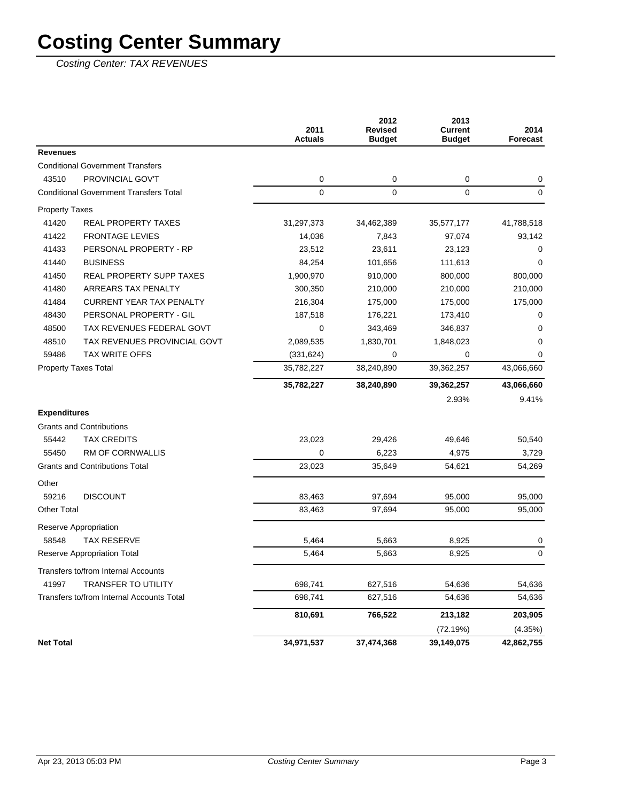# **Costing Center Summary**

Costing Center: TAX REVENUES

|                                               |                                           | 2011<br><b>Actuals</b> | 2012<br><b>Revised</b><br><b>Budget</b> | 2013<br><b>Current</b><br><b>Budget</b> | 2014<br><b>Forecast</b> |
|-----------------------------------------------|-------------------------------------------|------------------------|-----------------------------------------|-----------------------------------------|-------------------------|
| <b>Revenues</b>                               |                                           |                        |                                         |                                         |                         |
|                                               | <b>Conditional Government Transfers</b>   |                        |                                         |                                         |                         |
| 43510                                         | PROVINCIAL GOV'T                          | 0                      | 0                                       | 0                                       | 0                       |
| <b>Conditional Government Transfers Total</b> |                                           | 0                      | $\mathbf 0$                             | 0                                       | $\mathbf 0$             |
| <b>Property Taxes</b>                         |                                           |                        |                                         |                                         |                         |
| 41420                                         | <b>REAL PROPERTY TAXES</b>                | 31,297,373             | 34,462,389                              | 35,577,177                              | 41,788,518              |
| 41422                                         | <b>FRONTAGE LEVIES</b>                    | 14,036                 | 7,843                                   | 97,074                                  | 93,142                  |
| 41433                                         | PERSONAL PROPERTY - RP                    | 23,512                 | 23,611                                  | 23,123                                  | 0                       |
| 41440                                         | <b>BUSINESS</b>                           | 84,254                 | 101,656                                 | 111,613                                 | 0                       |
| 41450                                         | <b>REAL PROPERTY SUPP TAXES</b>           | 1,900,970              | 910,000                                 | 800,000                                 | 800,000                 |
| 41480                                         | ARREARS TAX PENALTY                       | 300,350                | 210,000                                 | 210,000                                 | 210,000                 |
| 41484                                         | <b>CURRENT YEAR TAX PENALTY</b>           | 216,304                | 175,000                                 | 175,000                                 | 175,000                 |
| 48430                                         | PERSONAL PROPERTY - GIL                   | 187,518                | 176,221                                 | 173,410                                 | 0                       |
| 48500                                         | TAX REVENUES FEDERAL GOVT                 | 0                      | 343,469                                 | 346,837                                 | 0                       |
| 48510                                         | TAX REVENUES PROVINCIAL GOVT              | 2,089,535              | 1,830,701                               | 1,848,023                               | 0                       |
| 59486                                         | <b>TAX WRITE OFFS</b>                     | (331, 624)             | 0                                       | 0                                       | 0                       |
| <b>Property Taxes Total</b>                   |                                           | 35,782,227             | 38,240,890                              | 39,362,257                              | 43,066,660              |
|                                               |                                           | 35,782,227             | 38,240,890                              | 39,362,257                              | 43,066,660              |
|                                               |                                           |                        |                                         | 2.93%                                   | 9.41%                   |
| <b>Expenditures</b>                           |                                           |                        |                                         |                                         |                         |
|                                               | <b>Grants and Contributions</b>           |                        |                                         |                                         |                         |
| 55442                                         | <b>TAX CREDITS</b>                        | 23,023                 | 29,426                                  | 49,646                                  | 50,540                  |
| 55450                                         | RM OF CORNWALLIS                          | 0                      | 6,223                                   | 4,975                                   | 3,729                   |
| <b>Grants and Contributions Total</b>         |                                           | 23,023                 | 35,649                                  | 54,621                                  | 54,269                  |
| Other                                         |                                           |                        |                                         |                                         |                         |
| 59216                                         | <b>DISCOUNT</b>                           | 83,463                 | 97,694                                  | 95,000                                  | 95,000                  |
| <b>Other Total</b>                            |                                           | 83,463                 | 97,694                                  | 95,000                                  | 95,000                  |
|                                               | Reserve Appropriation                     |                        |                                         |                                         |                         |
| 58548                                         | <b>TAX RESERVE</b>                        | 5,464                  | 5,663                                   | 8,925                                   | 0                       |
|                                               | <b>Reserve Appropriation Total</b>        | 5,464                  | 5,663                                   | 8,925                                   | $\mathbf 0$             |
|                                               | Transfers to/from Internal Accounts       |                        |                                         |                                         |                         |
| 41997                                         | TRANSFER TO UTILITY                       | 698,741                | 627,516                                 | 54,636                                  | 54,636                  |
|                                               | Transfers to/from Internal Accounts Total | 698,741                | 627,516                                 | 54,636                                  | 54,636                  |
|                                               |                                           | 810,691                | 766,522                                 | 213,182                                 | 203,905                 |
|                                               |                                           |                        |                                         | (72.19%)                                | (4.35%)                 |
| <b>Net Total</b>                              |                                           | 34,971,537             | 37,474,368                              | 39,149,075                              | 42,862,755              |